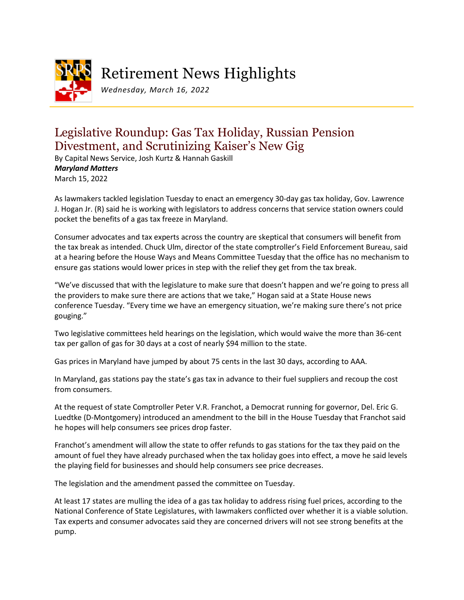

# Retirement News Highlights

*Wednesday, March 16, 2022*

## Legislative Roundup: Gas Tax Holiday, Russian Pension Divestment, and Scrutinizing Kaiser's New Gig

By Capital News Service, Josh Kurtz & Hannah Gaskill *Maryland Matters* March 15, 2022

As lawmakers tackled legislation Tuesday to enact an emergency 30-day gas tax holiday, Gov. Lawrence J. Hogan Jr. (R) said he is working with legislators to address concerns that service station owners could pocket the benefits of a gas tax freeze in Maryland.

Consumer advocates and tax experts across the country are skeptical that consumers will benefit from the tax break as intended. Chuck Ulm, director of the state comptroller's Field Enforcement Bureau, said at a hearing before the House Ways and Means Committee Tuesday that the office has no mechanism to ensure gas stations would lower prices in step with the relief they get from the tax break.

"We've discussed that with the legislature to make sure that doesn't happen and we're going to press all the providers to make sure there are actions that we take," Hogan said at a State House news conference Tuesday. "Every time we have an emergency situation, we're making sure there's not price gouging."

Two legislative committees held hearings on the legislation, which would waive the more than 36-cent tax per gallon of gas for 30 days at a cost of nearly \$94 million to the state.

Gas prices in Maryland have jumped by about 75 cents in the last 30 days, according to AAA.

In Maryland, gas stations pay the state's gas tax in advance to their fuel suppliers and recoup the cost from consumers.

At the request of state Comptroller Peter V.R. Franchot, a Democrat running for governor, Del. Eric G. Luedtke (D-Montgomery) introduced an amendment to the bill in the House Tuesday that Franchot said he hopes will help consumers see prices drop faster.

Franchot's amendment will allow the state to offer refunds to gas stations for the tax they paid on the amount of fuel they have already purchased when the tax holiday goes into effect, a move he said levels the playing field for businesses and should help consumers see price decreases.

The legislation and the amendment passed the committee on Tuesday.

At least 17 states are mulling the idea of a gas tax holiday to address rising fuel prices, according to the National Conference of State Legislatures, with lawmakers conflicted over whether it is a viable solution. Tax experts and consumer advocates said they are concerned drivers will not see strong benefits at the pump.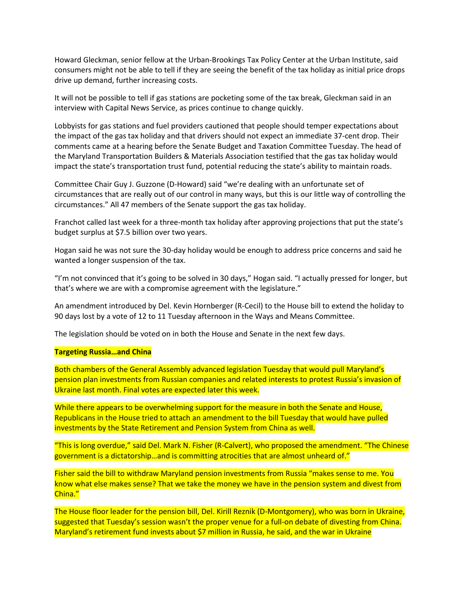Howard Gleckman, senior fellow at the Urban-Brookings Tax Policy Center at the Urban Institute, said consumers might not be able to tell if they are seeing the benefit of the tax holiday as initial price drops drive up demand, further increasing costs.

It will not be possible to tell if gas stations are pocketing some of the tax break, Gleckman said in an interview with Capital News Service, as prices continue to change quickly.

Lobbyists for gas stations and fuel providers cautioned that people should temper expectations about the impact of the gas tax holiday and that drivers should not expect an immediate 37-cent drop. Their comments came at a hearing before the Senate Budget and Taxation Committee Tuesday. The head of the Maryland Transportation Builders & Materials Association testified that the gas tax holiday would impact the state's transportation trust fund, potential reducing the state's ability to maintain roads.

Committee Chair Guy J. Guzzone (D-Howard) said "we're dealing with an unfortunate set of circumstances that are really out of our control in many ways, but this is our little way of controlling the circumstances." All 47 members of the Senate support the gas tax holiday.

Franchot called last week for a three-month tax holiday after approving projections that put the state's budget surplus at \$7.5 billion over two years.

Hogan said he was not sure the 30-day holiday would be enough to address price concerns and said he wanted a longer suspension of the tax.

"I'm not convinced that it's going to be solved in 30 days," Hogan said. "I actually pressed for longer, but that's where we are with a compromise agreement with the legislature."

An amendment introduced by Del. Kevin Hornberger (R-Cecil) to the House bill to extend the holiday to 90 days lost by a vote of 12 to 11 Tuesday afternoon in the Ways and Means Committee.

The legislation should be voted on in both the House and Senate in the next few days.

#### **Targeting Russia…and China**

Both chambers of the General Assembly advanced legislation Tuesday that would pull Maryland's pension plan investments from Russian companies and related interests to protest Russia's invasion of Ukraine last month. Final votes are expected later this week.

While there appears to be overwhelming support for the measure in both the Senate and House, Republicans in the House tried to attach an amendment to the bill Tuesday that would have pulled investments by the State Retirement and Pension System from China as well.

"This is long overdue," said Del. Mark N. Fisher (R-Calvert), who proposed the amendment. "The Chinese government is a dictatorship…and is committing atrocities that are almost unheard of."

Fisher said the bill to withdraw Maryland pension investments from Russia "makes sense to me. You know what else makes sense? That we take the money we have in the pension system and divest from China."

The House floor leader for the pension bill, Del. Kirill Reznik (D-Montgomery), who was born in Ukraine, suggested that Tuesday's session wasn't the proper venue for a full-on debate of divesting from China. Maryland's retirement fund invests about \$7 million in Russia, he said, and the war in Ukraine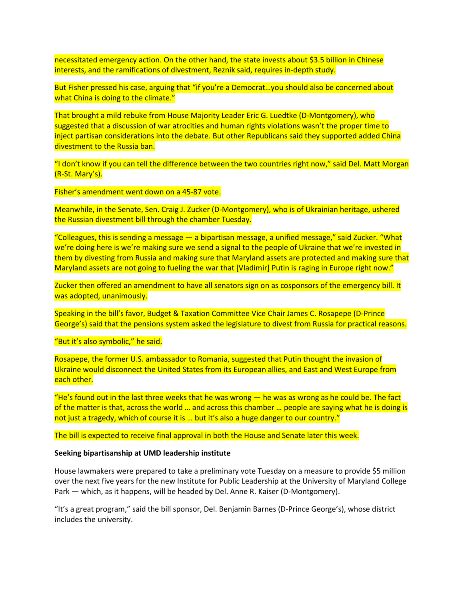necessitated emergency action. On the other hand, the state invests about \$3.5 billion in Chinese interests, and the ramifications of divestment, Reznik said, requires in-depth study.

But Fisher pressed his case, arguing that "if you're a Democrat…you should also be concerned about what China is doing to the climate."

That brought a mild rebuke from House Majority Leader Eric G. Luedtke (D-Montgomery), who suggested that a discussion of war atrocities and human rights violations wasn't the proper time to inject partisan considerations into the debate. But other Republicans said they supported added China divestment to the Russia ban.

"I don't know if you can tell the difference between the two countries right now," said Del. Matt Morgan (R-St. Mary's).

Fisher's amendment went down on a 45-87 vote.

Meanwhile, in the Senate, Sen. Craig J. Zucker (D-Montgomery), who is of Ukrainian heritage, ushered the Russian divestment bill through the chamber Tuesday.

"Colleagues, this is sending a message — a bipartisan message, a unified message," said Zucker. "What we're doing here is we're making sure we send a signal to the people of Ukraine that we're invested in them by divesting from Russia and making sure that Maryland assets are protected and making sure that Maryland assets are not going to fueling the war that [Vladimir] Putin is raging in Europe right now."

Zucker then offered an amendment to have all senators sign on as cosponsors of the emergency bill. It was adopted, unanimously.

Speaking in the bill's favor, Budget & Taxation Committee Vice Chair James C. Rosapepe (D-Prince George's) said that the pensions system asked the legislature to divest from Russia for practical reasons.

"But it's also symbolic," he said.

Rosapepe, the former U.S. ambassador to Romania, suggested that Putin thought the invasion of Ukraine would disconnect the United States from its European allies, and East and West Europe from each other.

"He's found out in the last three weeks that he was wrong  $-$  he was as wrong as he could be. The fact of the matter is that, across the world … and across this chamber … people are saying what he is doing is not just a tragedy, which of course it is ... but it's also a huge danger to our country."

The bill is expected to receive final approval in both the House and Senate later this week.

#### **Seeking bipartisanship at UMD leadership institute**

House lawmakers were prepared to take a preliminary vote Tuesday on a measure to provide \$5 million over the next five years for the new Institute for Public Leadership at the University of Maryland College Park — which, as it happens, will be headed by Del. Anne R. Kaiser (D-Montgomery).

"It's a great program," said the bill sponsor, Del. Benjamin Barnes (D-Prince George's), whose district includes the university.